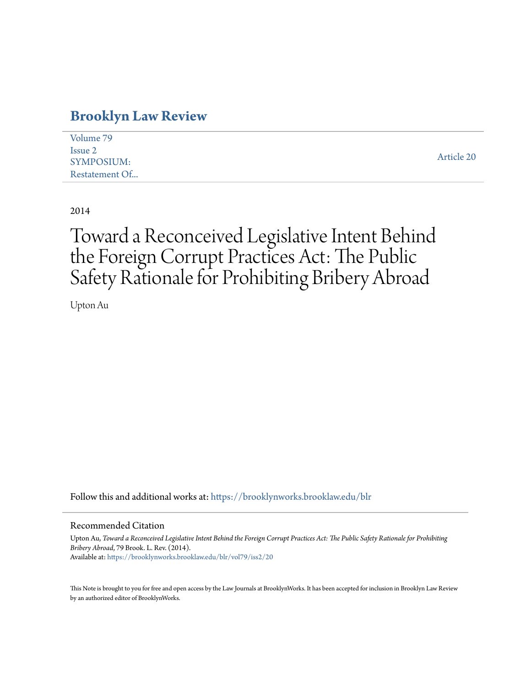### **[Brooklyn Law Review](https://brooklynworks.brooklaw.edu/blr?utm_source=brooklynworks.brooklaw.edu%2Fblr%2Fvol79%2Fiss2%2F20&utm_medium=PDF&utm_campaign=PDFCoverPages)**

| Volume 79      |            |
|----------------|------------|
| Issue 2        |            |
| SYMPOSIUM:     | Article 20 |
| Restatement Of |            |

2014

# Toward a Reconceived Legislative Intent Behind the Foreign Corrupt Practices Act: The Public Safety Rationale for Prohibiting Bribery Abroad

Upton Au

Follow this and additional works at: [https://brooklynworks.brooklaw.edu/blr](https://brooklynworks.brooklaw.edu/blr?utm_source=brooklynworks.brooklaw.edu%2Fblr%2Fvol79%2Fiss2%2F20&utm_medium=PDF&utm_campaign=PDFCoverPages)

#### Recommended Citation

Upton Au, *Toward a Reconceived Legislative Intent Behind the Foreign Corrupt Practices Act: The Public Safety Rationale for Prohibiting Bribery Abroad*, 79 Brook. L. Rev. (2014). Available at: [https://brooklynworks.brooklaw.edu/blr/vol79/iss2/20](https://brooklynworks.brooklaw.edu/blr/vol79/iss2/20?utm_source=brooklynworks.brooklaw.edu%2Fblr%2Fvol79%2Fiss2%2F20&utm_medium=PDF&utm_campaign=PDFCoverPages)

This Note is brought to you for free and open access by the Law Journals at BrooklynWorks. It has been accepted for inclusion in Brooklyn Law Review by an authorized editor of BrooklynWorks.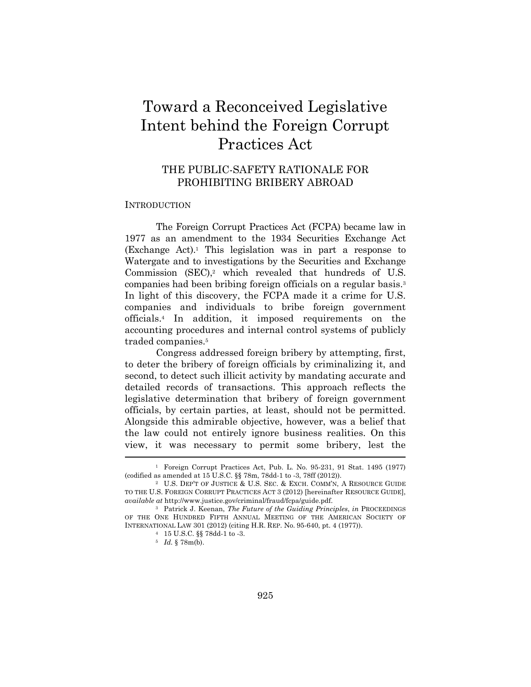## Toward a Reconceived Legislative Intent behind the Foreign Corrupt Practices Act

#### THE PUBLIC-SAFETY RATIONALE FOR PROHIBITING BRIBERY ABROAD

#### **INTRODUCTION**

The Foreign Corrupt Practices Act (FCPA) became law in 1977 as an amendment to the 1934 Securities Exchange Act (Exchange Act).1 This legislation was in part a response to Watergate and to investigations by the Securities and Exchange Commission  $(SEC).2$  which revealed that hundreds of U.S. companies had been bribing foreign officials on a regular basis.3 In light of this discovery, the FCPA made it a crime for U.S. companies and individuals to bribe foreign government officials.4 In addition, it imposed requirements on the accounting procedures and internal control systems of publicly traded companies.5

Congress addressed foreign bribery by attempting, first, to deter the bribery of foreign officials by criminalizing it, and second, to detect such illicit activity by mandating accurate and detailed records of transactions. This approach reflects the legislative determination that bribery of foreign government officials, by certain parties, at least, should not be permitted. Alongside this admirable objective, however, was a belief that the law could not entirely ignore business realities. On this view, it was necessary to permit some bribery, lest the

<sup>1</sup> Foreign Corrupt Practices Act, Pub. L. No. 95-231, 91 Stat. 1495 (1977) (codified as amended at 15 U.S.C. §§ 78m, 78dd-1 to -3, 78ff (2012)).

<sup>2</sup> U.S. DEP'T OF JUSTICE & U.S. SEC. & EXCH. COMM'N, A RESOURCE GUIDE TO THE U.S. FOREIGN CORRUPT PRACTICES ACT 3 (2012) [hereinafter RESOURCE GUIDE], *available at* http://www.justice.gov/criminal/fraud/fcpa/guide.pdf.

<sup>3</sup> Patrick J. Keenan, *The Future of the Guiding Principles*, *in* PROCEEDINGS OF THE ONE HUNDRED FIFTH ANNUAL MEETING OF THE AMERICAN SOCIETY OF INTERNATIONAL LAW 301 (2012) (citing H.R. REP. No. 95-640, pt. 4 (1977)). 4 15 U.S.C. §§ 78dd-1 to -3.

<sup>5</sup> *Id.* § 78m(b).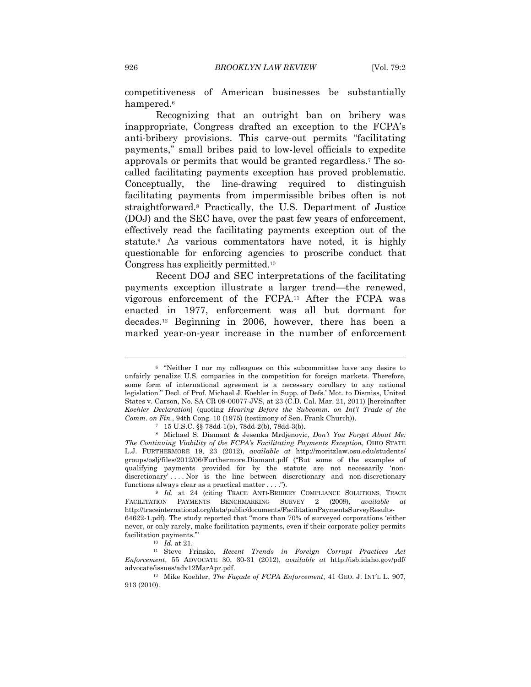competitiveness of American businesses be substantially hampered.<sup>6</sup>

Recognizing that an outright ban on bribery was inappropriate, Congress drafted an exception to the FCPA's anti-bribery provisions. This carve-out permits "facilitating payments," small bribes paid to low-level officials to expedite approvals or permits that would be granted regardless.7 The socalled facilitating payments exception has proved problematic. Conceptually, the line-drawing required to distinguish facilitating payments from impermissible bribes often is not straightforward.8 Practically, the U.S. Department of Justice (DOJ) and the SEC have, over the past few years of enforcement, effectively read the facilitating payments exception out of the statute.9 As various commentators have noted, it is highly questionable for enforcing agencies to proscribe conduct that Congress has explicitly permitted.10

Recent DOJ and SEC interpretations of the facilitating payments exception illustrate a larger trend—the renewed, vigorous enforcement of the FCPA.11 After the FCPA was enacted in 1977, enforcement was all but dormant for decades.12 Beginning in 2006, however, there has been a marked year-on-year increase in the number of enforcement

<sup>6 &</sup>quot;Neither I nor my colleagues on this subcommittee have any desire to unfairly penalize U.S. companies in the competition for foreign markets. Therefore, some form of international agreement is a necessary corollary to any national legislation." Decl. of Prof. Michael J. Koehler in Supp. of Defs.' Mot. to Dismiss, United States v. Carson, No. SA CR 09-00077-JVS, at 23 (C.D. Cal. Mar. 21, 2011) [hereinafter *Koehler Declaration*] (quoting *Hearing Before the Subcomm. on Int'l Trade of the Comm. on Fin.*, 94th Cong. 10 (1975) (testimony of Sen. Frank Church)).

<sup>7 15</sup> U.S.C. §§ 78dd-1(b), 78dd-2(b), 78dd-3(b).

<sup>8</sup> Michael S. Diamant & Jesenka Mrdjenovic, *Don't You Forget About Me: The Continuing Viability of the FCPA's Facilitating Payments Exception*, OHIO STATE L.J. FURTHERMORE 19, 23 (2012), *available at* http://moritzlaw.osu.edu/students/ groups/oslj/files/2012/06/Furthermore.Diamant.pdf ("But some of the examples of qualifying payments provided for by the statute are not necessarily 'nondiscretionary' . . . . Nor is the line between discretionary and non-discretionary functions always clear as a practical matter . . . .").<br><sup>9</sup> *Id.* at 24 (citing TRACE ANTI-BRIBERY COMPLIANCE SOLUTIONS, TRACE

FACILITATION PAYMENTS BENCHMARKING SURVEY 2 (2009), *available at*  http://traceinternational.org/data/public/documents/FacilitationPaymentsSurveyResults-64622-1.pdf). The study reported that "more than 70% of surveyed corporations 'either never, or only rarely, make facilitation payments, even if their corporate policy permits facilitation payments.'" 10 *Id.* at 21. 11 Steve Frinsko, *Recent Trends in Foreign Corrupt Practices Act* 

*Enforcement*, 55 ADVOCATE 30, 30-31 (2012), *available at* http://isb.idaho.gov/pdf/ advocate/issues/adv12MarApr.pdf. 12 Mike Koehler, *The Façade of FCPA Enforcement*, 41 GEO. J. INT'L L. 907,

<sup>913 (2010).</sup>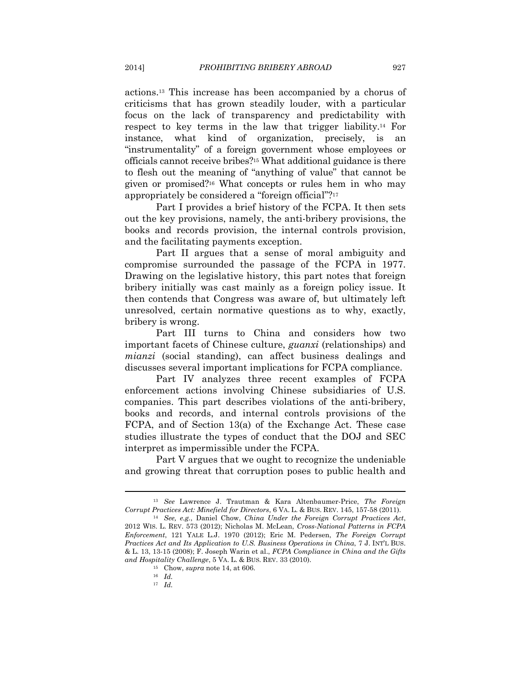actions.13 This increase has been accompanied by a chorus of criticisms that has grown steadily louder, with a particular focus on the lack of transparency and predictability with respect to key terms in the law that trigger liability.14 For instance, what kind of organization, precisely, is an "instrumentality" of a foreign government whose employees or officials cannot receive bribes?15 What additional guidance is there to flesh out the meaning of "anything of value" that cannot be given or promised?16 What concepts or rules hem in who may appropriately be considered a "foreign official"?17

Part I provides a brief history of the FCPA. It then sets out the key provisions, namely, the anti-bribery provisions, the books and records provision, the internal controls provision, and the facilitating payments exception.

Part II argues that a sense of moral ambiguity and compromise surrounded the passage of the FCPA in 1977. Drawing on the legislative history, this part notes that foreign bribery initially was cast mainly as a foreign policy issue. It then contends that Congress was aware of, but ultimately left unresolved, certain normative questions as to why, exactly, bribery is wrong.

Part III turns to China and considers how two important facets of Chinese culture, *guanxi* (relationships) and *mianzi* (social standing), can affect business dealings and discusses several important implications for FCPA compliance.

Part IV analyzes three recent examples of FCPA enforcement actions involving Chinese subsidiaries of U.S. companies. This part describes violations of the anti-bribery, books and records, and internal controls provisions of the FCPA, and of Section 13(a) of the Exchange Act. These case studies illustrate the types of conduct that the DOJ and SEC interpret as impermissible under the FCPA.

Part V argues that we ought to recognize the undeniable and growing threat that corruption poses to public health and

<sup>13</sup> *See* Lawrence J. Trautman & Kara Altenbaumer-Price, *The Foreign Corrupt Practices Act: Minefield for Directors*, 6 VA. L. & BUS. REV. 145, 157-58 (2011). 14 *See, e.g.*, Daniel Chow, *China Under the Foreign Corrupt Practices Act*,

<sup>2012</sup> WIS. L. REV. 573 (2012); Nicholas M. McLean, *Cross-National Patterns in FCPA Enforcement*, 121 YALE L.J. 1970 (2012); Eric M. Pedersen, *The Foreign Corrupt Practices Act and Its Application to U.S. Business Operations in China*, 7 J. INT'L BUS. & L. 13, 13-15 (2008); F. Joseph Warin et al., *FCPA Compliance in China and the Gifts and Hospitality Challenge*, 5 VA. L. & BUS. REV. 33 (2010). 15 Chow, *supra* note 14, at 606. 16 *Id.*

<sup>17</sup> *Id.*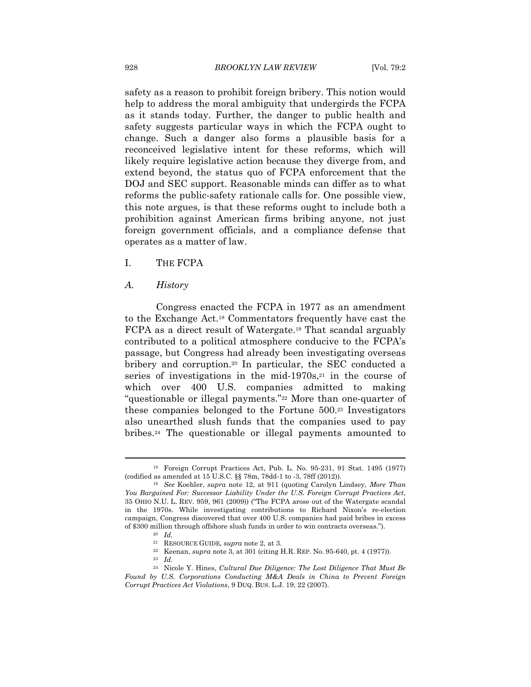safety as a reason to prohibit foreign bribery. This notion would help to address the moral ambiguity that undergirds the FCPA as it stands today. Further, the danger to public health and safety suggests particular ways in which the FCPA ought to change. Such a danger also forms a plausible basis for a reconceived legislative intent for these reforms, which will likely require legislative action because they diverge from, and extend beyond, the status quo of FCPA enforcement that the DOJ and SEC support. Reasonable minds can differ as to what reforms the public-safety rationale calls for. One possible view, this note argues, is that these reforms ought to include both a prohibition against American firms bribing anyone, not just foreign government officials, and a compliance defense that operates as a matter of law.

#### I. THE FCPA

#### *A. History*

Congress enacted the FCPA in 1977 as an amendment to the Exchange Act.18 Commentators frequently have cast the FCPA as a direct result of Watergate.19 That scandal arguably contributed to a political atmosphere conducive to the FCPA's passage, but Congress had already been investigating overseas bribery and corruption.20 In particular, the SEC conducted a series of investigations in the mid- $1970s$ ,<sup>21</sup> in the course of which over 400 U.S. companies admitted to making "questionable or illegal payments."22 More than one-quarter of these companies belonged to the Fortune 500.23 Investigators also unearthed slush funds that the companies used to pay bribes.24 The questionable or illegal payments amounted to

<sup>22</sup> Keenan, *supra* note 3, at 301 (citing H.R. REP. No. 95-640, pt. 4 (1977)).<br><sup>23</sup> *Id.* 

<sup>&</sup>lt;sup>18</sup> Foreign Corrupt Practices Act, Pub. L. No. 95-231, 91 Stat. 1495 (1977) (codified as amended at 15 U.S.C. §§ 78m, 78dd-1 to -3, 78ff (2012)).

<sup>&</sup>lt;sup>19</sup> See Koehler, *supra* note 12, at 911 (quoting Carolyn Lindsey, *More Than You Bargained For: Successor Liability Under the U.S. Foreign Corrupt Practices Act*, 35 OHIO N.U. L. REV. 959, 961 (2009)) ("The FCPA arose out of the Watergate scandal in the 1970s. While investigating contributions to Richard Nixon's re-election campaign, Congress discovered that over 400 U.S. companies had paid bribes in excess % of \$300 million through offshore slush funds in order to win contracts overseas."). <br>  $^{20}$   $\,$   $\,$   $Id.$  <br> <br> $^{21}$   $\,$  RESOURCE GUIDE,<br>  $supra$  note 2, at 3.

<sup>24</sup> Nicole Y. Hines, *Cultural Due Diligence: The Lost Diligence That Must Be Found by U.S. Corporations Conducting M&A Deals in China to Prevent Foreign Corrupt Practices Act Violations*, 9 DUQ. BUS. L.J. 19, 22 (2007).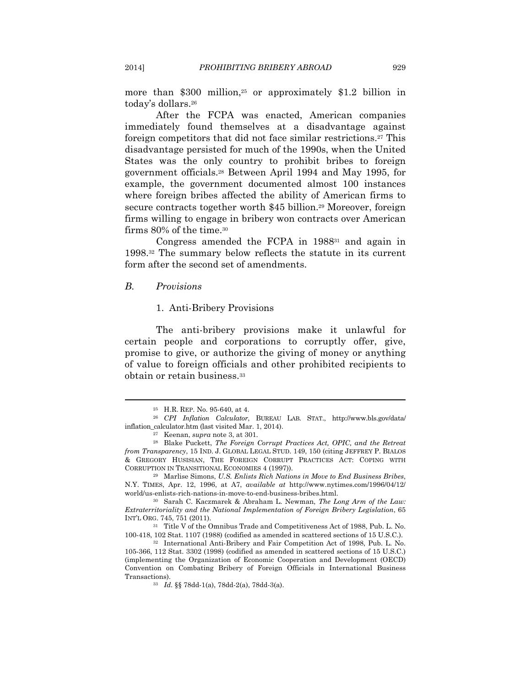more than \$300 million,<sup>25</sup> or approximately \$1.2 billion in today's dollars.26

After the FCPA was enacted, American companies immediately found themselves at a disadvantage against foreign competitors that did not face similar restrictions.27 This disadvantage persisted for much of the 1990s, when the United States was the only country to prohibit bribes to foreign government officials.28 Between April 1994 and May 1995, for example, the government documented almost 100 instances where foreign bribes affected the ability of American firms to secure contracts together worth \$45 billion.29 Moreover, foreign firms willing to engage in bribery won contracts over American firms 80% of the time.30

Congress amended the FCPA in 198831 and again in 1998.32 The summary below reflects the statute in its current form after the second set of amendments.

#### *B. Provisions*

#### 1. Anti-Bribery Provisions

The anti-bribery provisions make it unlawful for certain people and corporations to corruptly offer, give, promise to give, or authorize the giving of money or anything of value to foreign officials and other prohibited recipients to obtain or retain business.33

<sup>25</sup> H.R. REP. No. 95-640, at 4. 26 *CPI Inflation Calculator*, BUREAU LAB. STAT., http://www.bls.gov/data/ inflation\_calculator.htm (last visited Mar. 1, 2014). 27 Keenan, *supra* note 3, at 301. 28 Blake Puckett, *The Foreign Corrupt Practices Act, OPIC, and the Retreat* 

*from Transparency*, 15 IND. J. GLOBAL LEGAL STUD. 149, 150 (citing JEFFREY P. BIALOS & GREGORY HUSISIAN, THE FOREIGN CORRUPT PRACTICES ACT: COPING WITH

<sup>&</sup>lt;sup>29</sup> Marlise Simons, *U.S. Enlists Rich Nations in Move to End Business Bribes*, N.Y. TIMES, Apr. 12, 1996, at A7, *available at* http://www.nytimes.com/1996/04/12/ world/us-enlists-rich-nations-in-move-to-end-business-bribes.html. 30 Sarah C. Kaczmarek & Abraham L. Newman, *The Long Arm of the Law:* 

*Extraterritoriality and the National Implementation of Foreign Bribery Legislation*, 65 INT'L ORG. 745, 751 (2011).

<sup>31</sup> Title V of the Omnibus Trade and Competitiveness Act of 1988, Pub. L. No. 100-418, 102 Stat. 1107 (1988) (codified as amended in scattered sections of 15 U.S.C.). 32 International Anti-Bribery and Fair Competition Act of 1998, Pub. L. No.

<sup>105-366, 112</sup> Stat. 3302 (1998) (codified as amended in scattered sections of 15 U.S.C.) (implementing the Organization of Economic Cooperation and Development (OECD) Convention on Combating Bribery of Foreign Officials in International Business Transactions). 33 *Id.* §§ 78dd-1(a), 78dd-2(a), 78dd-3(a).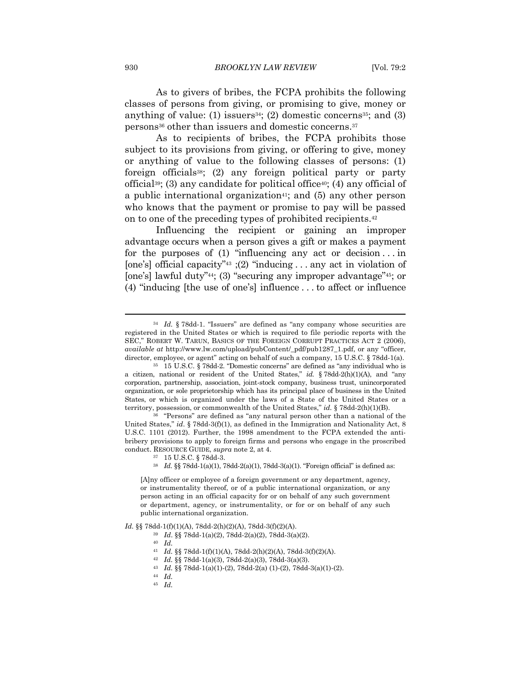As to givers of bribes, the FCPA prohibits the following classes of persons from giving, or promising to give, money or anything of value: (1) issuers<sup>34</sup>; (2) domestic concerns<sup>35</sup>; and (3) persons36 other than issuers and domestic concerns.37

As to recipients of bribes, the FCPA prohibits those subject to its provisions from giving, or offering to give, money or anything of value to the following classes of persons: (1) foreign officials38; (2) any foreign political party or party official<sup>39</sup>; (3) any candidate for political office<sup>40</sup>; (4) any official of a public international organization<sup>41</sup>; and  $(5)$  any other person who knows that the payment or promise to pay will be passed on to one of the preceding types of prohibited recipients.42

Influencing the recipient or gaining an improper advantage occurs when a person gives a gift or makes a payment for the purposes of  $(1)$  "influencing any act or decision... in [one's] official capacity<sup>"43</sup> ;(2) "inducing . . . any act in violation of [one's] lawful duty"<sup>44</sup>; (3) "securing any improper advantage"<sup>45</sup>; or (4) "inducing [the use of one's] influence . . . to affect or influence

United States," *id*. § 78dd-3(f)(1), as defined in the Immigration and Nationality Act, 8 U.S.C. 1101 (2012). Further, the 1998 amendment to the FCPA extended the antibribery provisions to apply to foreign firms and persons who engage in the proscribed conduct. RESOURCE GUIDE, *supra* note 2, at 4. 37 15 U.S.C. § 78dd-3.

- 
- <sup>38</sup> *Id.* §§ 78dd-1(a)(1), 78dd-2(a)(1), 78dd-3(a)(1). "Foreign official" is defined as:

*Id.* §§ 78dd-1(f)(1)(A), 78dd-2(h)(2)(A), 78dd-3(f)(2)(A). 39 *Id*. §§ 78dd-1(a)(2), 78dd-2(a)(2), 78dd-3(a)(2). 40 *Id.*

- 
- 
- 
- 
- <sup>41</sup> *Id.* §§ 78dd-1(f)(1)(A), 78dd-2(h)(2)(A), 78dd-3(f)(2)(A). 42 *Id.* §§ 78dd-1(a)(3), 78dd-2(a)(3), 78dd-3(a)(3). 43 *Id.* §§ 78dd-1(a)(1)-(2), 78dd-2(a) (1)-(2), 78dd-3(a)(1)-(2). 44 *Id.*
- 
- 45 *Id.*

<sup>34</sup> *Id.* § 78dd-1. "Issuers" are defined as "any company whose securities are registered in the United States or which is required to file periodic reports with the SEC," ROBERT W. TARUN, BASICS OF THE FOREIGN CORRUPT PRACTICES ACT 2 (2006), *available at* http://www.lw.com/upload/pubContent/\_pdf/pub1287\_1.pdf, or any "officer, director, employee, or agent" acting on behalf of such a company, 15 U.S.C. § 78dd-1(a).<br><sup>35</sup> 15 U.S.C. § 78dd-2. "Domestic concerns" are defined as "any individual who is

a citizen, national or resident of the United States," *id.* § 78dd-2(h)(1)(A), and "any corporation, partnership, association, joint-stock company, business trust, unincorporated organization, or sole proprietorship which has its principal place of business in the United States, or which is organized under the laws of a State of the United States or a territory, possession, or commonwealth of the United States," *id.* § 78dd-2(h)(1)(B).<br><sup>36</sup> "Persons" are defined as "any natural person other than a national of the

<sup>[</sup>A]ny officer or employee of a foreign government or any department, agency, or instrumentality thereof, or of a public international organization, or any person acting in an official capacity for or on behalf of any such government or department, agency, or instrumentality, or for or on behalf of any such public international organization.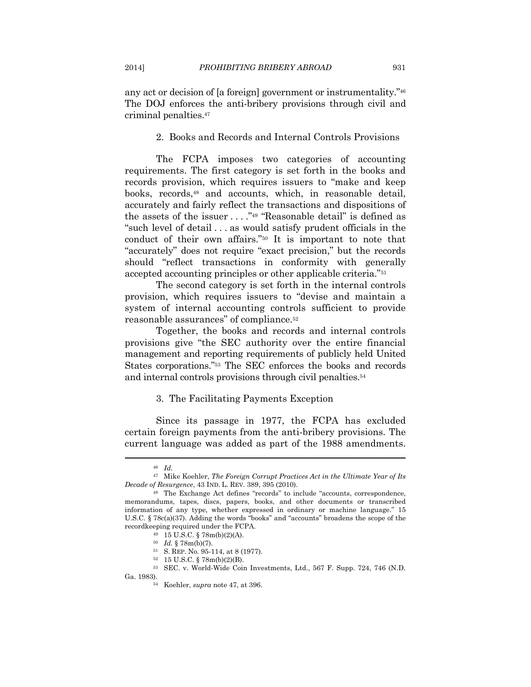any act or decision of [a foreign] government or instrumentality."46 The DOJ enforces the anti-bribery provisions through civil and criminal penalties.47

#### 2. Books and Records and Internal Controls Provisions

The FCPA imposes two categories of accounting requirements. The first category is set forth in the books and records provision, which requires issuers to "make and keep books, records,48 and accounts, which, in reasonable detail, accurately and fairly reflect the transactions and dispositions of the assets of the issuer  $\dots$ ."<sup>49</sup> "Reasonable detail" is defined as "such level of detail . . . as would satisfy prudent officials in the conduct of their own affairs."50 It is important to note that "accurately" does not require "exact precision," but the records should "reflect transactions in conformity with generally accepted accounting principles or other applicable criteria."51

The second category is set forth in the internal controls provision, which requires issuers to "devise and maintain a system of internal accounting controls sufficient to provide reasonable assurances" of compliance.52

Together, the books and records and internal controls provisions give "the SEC authority over the entire financial management and reporting requirements of publicly held United States corporations."53 The SEC enforces the books and records and internal controls provisions through civil penalties.54

#### 3. The Facilitating Payments Exception

Since its passage in 1977, the FCPA has excluded certain foreign payments from the anti-bribery provisions. The current language was added as part of the 1988 amendments.

<sup>46</sup> *Id.*

<sup>47</sup> Mike Koehler, *The Foreign Corrupt Practices Act in the Ultimate Year of Its Decade of Resurgence*, 43 IND. L. REV. 389, 395 (2010). 48 The Exchange Act defines "records" to include "accounts, correspondence,

memorandums, tapes, discs, papers, books, and other documents or transcribed information of any type, whether expressed in ordinary or machine language." 15 U.S.C. § 78c(a)(37). Adding the words "books" and "accounts" broadens the scope of the record<br>keeping required under the FCPA.  $^{49}$  15 U.S.C. § 78m(b)(2)(A).<br> $^{50}$  Id. § 78m(b)(7).

<sup>&</sup>lt;sup>51</sup> S. REP. No. 95-114, at 8 (1977).<br><sup>52</sup> 15 U.S.C. § 78m(b)(2)(B).

<sup>53</sup> SEC. v. World-Wide Coin Investments, Ltd., 567 F. Supp. 724, 746 (N.D.

Ga. 1983). 54 Koehler, *supra* note 47, at 396.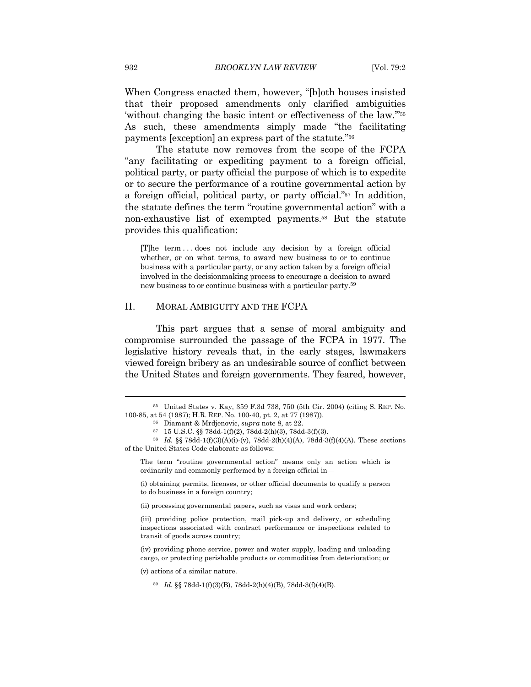When Congress enacted them, however, "[b]oth houses insisted that their proposed amendments only clarified ambiguities 'without changing the basic intent or effectiveness of the law.'"55 As such, these amendments simply made "the facilitating payments [exception] an express part of the statute."56

The statute now removes from the scope of the FCPA "any facilitating or expediting payment to a foreign official, political party, or party official the purpose of which is to expedite or to secure the performance of a routine governmental action by a foreign official, political party, or party official."57 In addition, the statute defines the term "routine governmental action" with a non-exhaustive list of exempted payments.58 But the statute provides this qualification:

[T]he term . . . does not include any decision by a foreign official whether, or on what terms, to award new business to or to continue business with a particular party, or any action taken by a foreign official involved in the decisionmaking process to encourage a decision to award new business to or continue business with a particular party.59

#### II. MORAL AMBIGUITY AND THE FCPA

This part argues that a sense of moral ambiguity and compromise surrounded the passage of the FCPA in 1977. The legislative history reveals that, in the early stages, lawmakers viewed foreign bribery as an undesirable source of conflict between the United States and foreign governments. They feared, however,

(ii) processing governmental papers, such as visas and work orders;

(v) actions of a similar nature.

<sup>55</sup> United States v. Kay, 359 F.3d 738, 750 (5th Cir. 2004) (citing S. REP. No. 100-85, at 54 (1987); H.R. REP. No. 100-40, pt. 2, at 77 (1987)).

<sup>56</sup> Diamant & Mrdjenovic, *supra* note 8, at 22. 57 15 U.S.C. §§ 78dd-1(f)(2), 78dd-2(h)(3), 78dd-3(f)(3).

<sup>58</sup> *Id.* §§ 78dd-1(f)(3)(A)(i)-(v), 78dd-2(h)(4)(A), 78dd-3(f)(4)(A). These sections of the United States Code elaborate as follows:

The term "routine governmental action" means only an action which is ordinarily and commonly performed by a foreign official in—

<sup>(</sup>i) obtaining permits, licenses, or other official documents to qualify a person to do business in a foreign country;

<sup>(</sup>iii) providing police protection, mail pick-up and delivery, or scheduling inspections associated with contract performance or inspections related to transit of goods across country;

<sup>(</sup>iv) providing phone service, power and water supply, loading and unloading cargo, or protecting perishable products or commodities from deterioration; or

<sup>59</sup> *Id.* §§ 78dd-1(f)(3)(B), 78dd-2(h)(4)(B), 78dd-3(f)(4)(B).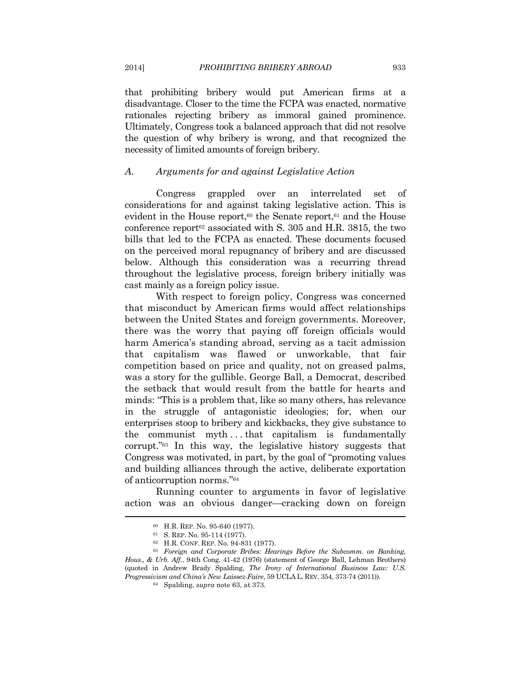that prohibiting bribery would put American firms at a disadvantage. Closer to the time the FCPA was enacted, normative rationales rejecting bribery as immoral gained prominence. Ultimately, Congress took a balanced approach that did not resolve the question of why bribery is wrong, and that recognized the necessity of limited amounts of foreign bribery.

#### *A. Arguments for and against Legislative Action*

Congress grappled over an interrelated set of considerations for and against taking legislative action. This is evident in the House report,<sup>60</sup> the Senate report,<sup>61</sup> and the House conference report<sup> $62$ </sup> associated with S. 305 and H.R. 3815, the two bills that led to the FCPA as enacted. These documents focused on the perceived moral repugnancy of bribery and are discussed below. Although this consideration was a recurring thread throughout the legislative process, foreign bribery initially was cast mainly as a foreign policy issue.

With respect to foreign policy, Congress was concerned that misconduct by American firms would affect relationships between the United States and foreign governments. Moreover, there was the worry that paying off foreign officials would harm America's standing abroad, serving as a tacit admission that capitalism was flawed or unworkable, that fair competition based on price and quality, not on greased palms, was a story for the gullible. George Ball, a Democrat, described the setback that would result from the battle for hearts and minds: "This is a problem that, like so many others, has relevance in the struggle of antagonistic ideologies; for, when our enterprises stoop to bribery and kickbacks, they give substance to the communist myth . . . that capitalism is fundamentally corrupt."63 In this way, the legislative history suggests that Congress was motivated, in part, by the goal of "promoting values and building alliances through the active, deliberate exportation of anticorruption norms."64

Running counter to arguments in favor of legislative action was an obvious danger—cracking down on foreign

<sup>60</sup> H.R. REP. No. 95-640 (1977). 61 S. REP. No. 95-114 (1977). 62 H.R. CONF. REP. No. 94-831 (1977). 63 *Foreign and Corporate Bribes: Hearings Before the Subcomm. on Banking, Hous., & Urb. Aff.*, 94th Cong. 41-42 (1976) (statement of George Ball, Lehman Brothers) (quoted in Andrew Brady Spalding, *The Irony of International Business Law: U.S. Progressivism and China's New Laissez-Faire*, 59 UCLA L. REV. 354, 373-74 (2011)). 64 Spalding, *supra* note 63, at 373.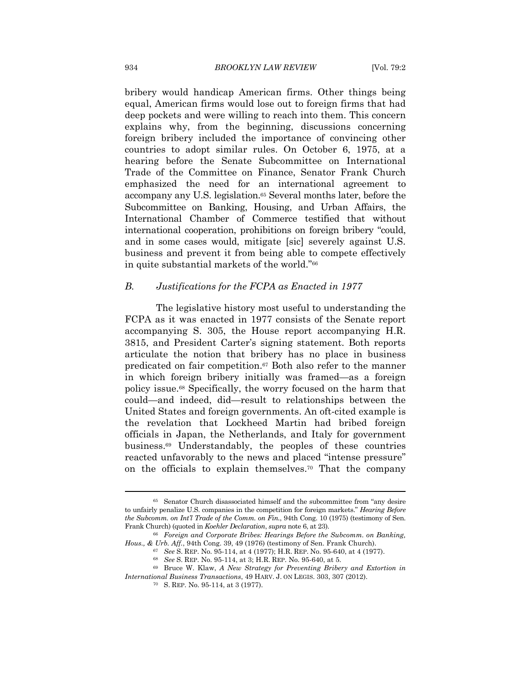bribery would handicap American firms. Other things being equal, American firms would lose out to foreign firms that had deep pockets and were willing to reach into them. This concern explains why, from the beginning, discussions concerning foreign bribery included the importance of convincing other countries to adopt similar rules. On October 6, 1975, at a hearing before the Senate Subcommittee on International Trade of the Committee on Finance, Senator Frank Church emphasized the need for an international agreement to accompany any U.S. legislation.<sup>65</sup> Several months later, before the Subcommittee on Banking, Housing, and Urban Affairs, the International Chamber of Commerce testified that without international cooperation, prohibitions on foreign bribery "could, and in some cases would, mitigate [sic] severely against U.S. business and prevent it from being able to compete effectively in quite substantial markets of the world."66

#### *B. Justifications for the FCPA as Enacted in 1977*

The legislative history most useful to understanding the FCPA as it was enacted in 1977 consists of the Senate report accompanying S. 305, the House report accompanying H.R. 3815, and President Carter's signing statement. Both reports articulate the notion that bribery has no place in business predicated on fair competition.67 Both also refer to the manner in which foreign bribery initially was framed—as a foreign policy issue.68 Specifically, the worry focused on the harm that could—and indeed, did—result to relationships between the United States and foreign governments. An oft-cited example is the revelation that Lockheed Martin had bribed foreign officials in Japan, the Netherlands, and Italy for government business.69 Understandably, the peoples of these countries reacted unfavorably to the news and placed "intense pressure" on the officials to explain themselves.70 That the company

<sup>65</sup> Senator Church disassociated himself and the subcommittee from "any desire to unfairly penalize U.S. companies in the competition for foreign markets." *Hearing Before the Subcomm. on Int'l Trade of the Comm. on Fin.*, 94th Cong. 10 (1975) (testimony of Sen.

Frank Church) (quoted in *Koehler Declaration*, *supra* note 6, at 23).<br><sup>66</sup> Foreign and Corporate Bribes: Hearings Before the Subcomm. on Banking, *Hous.*, & Urb. Aff., 94th Cong. 39, 49 (1976) (testimony of Sen. Frank Ch

<sup>&</sup>lt;sup>67</sup> See S. REP. No. 95-114, at 4 (1977); H.R. REP. No. 95-640, at 4 (1977).<br><sup>68</sup> See S. REP. No. 95-114, at 3; H.R. REP. No. 95-640, at 5.<br><sup>69</sup> Bruce W. Klaw, *A New Strategy for Preventing Bribery and Extortion in* 

*International Business Transactions*, 49 HARV. J. ON LEGIS. 303, 307 (2012). <sup>70</sup> S. REP. No. 95-114, at 3 (1977).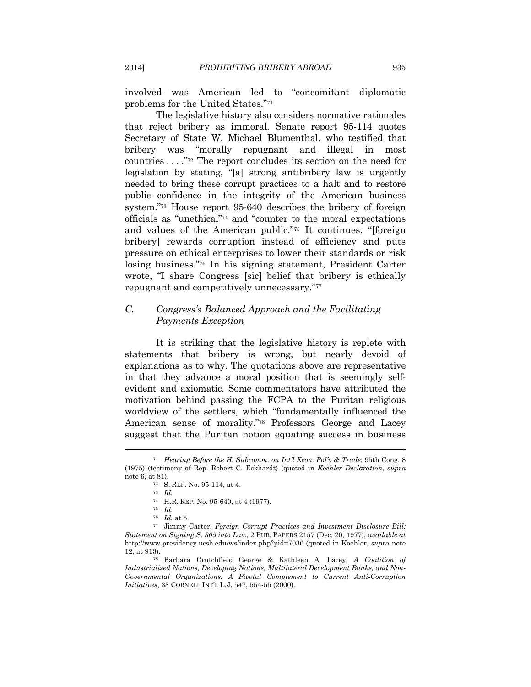involved was American led to "concomitant diplomatic problems for the United States."71

The legislative history also considers normative rationales that reject bribery as immoral. Senate report 95-114 quotes Secretary of State W. Michael Blumenthal, who testified that bribery was "morally repugnant and illegal in most countries . . . ."72 The report concludes its section on the need for legislation by stating, "[a] strong antibribery law is urgently needed to bring these corrupt practices to a halt and to restore public confidence in the integrity of the American business system."73 House report 95-640 describes the bribery of foreign officials as "unethical"74 and "counter to the moral expectations and values of the American public."75 It continues, "[foreign bribery] rewards corruption instead of efficiency and puts pressure on ethical enterprises to lower their standards or risk losing business."76 In his signing statement, President Carter wrote, "I share Congress [sic] belief that bribery is ethically repugnant and competitively unnecessary."77

#### *C. Congress's Balanced Approach and the Facilitating Payments Exception*

It is striking that the legislative history is replete with statements that bribery is wrong, but nearly devoid of explanations as to why. The quotations above are representative in that they advance a moral position that is seemingly selfevident and axiomatic. Some commentators have attributed the motivation behind passing the FCPA to the Puritan religious worldview of the settlers, which "fundamentally influenced the American sense of morality."78 Professors George and Lacey suggest that the Puritan notion equating success in business

<sup>71</sup> *Hearing Before the H. Subcomm. on Int'l Econ. Pol'y & Trade*, 95th Cong. 8 (1975) (testimony of Rep. Robert C. Eckhardt) (quoted in *Koehler Declaration*, *supra* note 6, at 81).<br><sup>72</sup> S. REP. No. 95-114, at 4.<br><sup>73</sup> *Id.* 

<sup>74</sup> H.R. REP. No. 95-640, at 4 (1977). 75 *Id.*

<sup>76</sup> *Id.* at 5. 77 Jimmy Carter, *Foreign Corrupt Practices and Investment Disclosure Bill; Statement on Signing S. 305 into Law*, 2 PUB. PAPERS 2157 (Dec. 20, 1977), *available at*  http://www.presidency.ucsb.edu/ws/index.php?pid=7036 (quoted in Koehler, *supra* note 12, at 913). 78 Barbara Crutchfield George & Kathleen A. Lacey, *A Coalition of* 

*Industrialized Nations, Developing Nations, Multilateral Development Banks, and Non-Governmental Organizations: A Pivotal Complement to Current Anti-Corruption Initiatives*, 33 CORNELL INT'L L.J. 547, 554-55 (2000).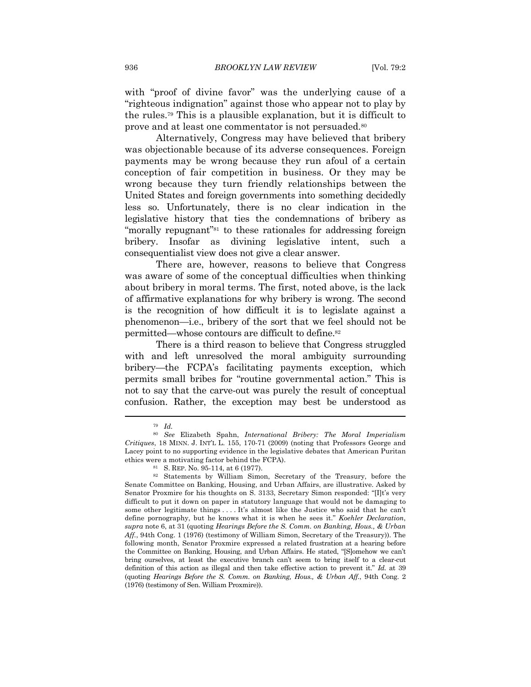with "proof of divine favor" was the underlying cause of a "righteous indignation" against those who appear not to play by the rules.79 This is a plausible explanation, but it is difficult to prove and at least one commentator is not persuaded.80

Alternatively, Congress may have believed that bribery was objectionable because of its adverse consequences. Foreign payments may be wrong because they run afoul of a certain conception of fair competition in business. Or they may be wrong because they turn friendly relationships between the United States and foreign governments into something decidedly less so. Unfortunately, there is no clear indication in the legislative history that ties the condemnations of bribery as "morally repugnant"81 to these rationales for addressing foreign bribery. Insofar as divining legislative intent, such a consequentialist view does not give a clear answer.

There are, however, reasons to believe that Congress was aware of some of the conceptual difficulties when thinking about bribery in moral terms. The first, noted above, is the lack of affirmative explanations for why bribery is wrong. The second is the recognition of how difficult it is to legislate against a phenomenon—i.e., bribery of the sort that we feel should not be permitted—whose contours are difficult to define.82

There is a third reason to believe that Congress struggled with and left unresolved the moral ambiguity surrounding bribery—the FCPA's facilitating payments exception, which permits small bribes for "routine governmental action." This is not to say that the carve-out was purely the result of conceptual confusion. Rather, the exception may best be understood as

<sup>79</sup> *Id.*

<sup>80</sup> *See* Elizabeth Spahn, *International Bribery: The Moral Imperialism Critiques*, 18 MINN. J. INT'L L. 155, 170-71 (2009) (noting that Professors George and Lacey point to no supporting evidence in the legislative debates that American Puritan ethics were a motivating factor behind the FCPA).<br><sup>81</sup> S. REP. No. 95-114, at 6 (1977).<br><sup>82</sup> Statements by William Simon, Secretary of the Treasury, before the

Senate Committee on Banking, Housing, and Urban Affairs, are illustrative. Asked by Senator Proxmire for his thoughts on S. 3133, Secretary Simon responded: "[I]t's very difficult to put it down on paper in statutory language that would not be damaging to some other legitimate things . . . . It's almost like the Justice who said that he can't define pornography, but he knows what it is when he sees it." *Koehler Declaration*, *supra* note 6, at 31 (quoting *Hearings Before the S. Comm. on Banking, Hous., & Urban Aff.*, 94th Cong. 1 (1976) (testimony of William Simon, Secretary of the Treasury)). The following month, Senator Proxmire expressed a related frustration at a hearing before the Committee on Banking, Housing, and Urban Affairs. He stated, "[S]omehow we can't bring ourselves, at least the executive branch can't seem to bring itself to a clear-cut definition of this action as illegal and then take effective action to prevent it." *Id.* at 39 (quoting *Hearings Before the S. Comm. on Banking, Hous., & Urban Aff.*, 94th Cong. 2 (1976) (testimony of Sen. William Proxmire)).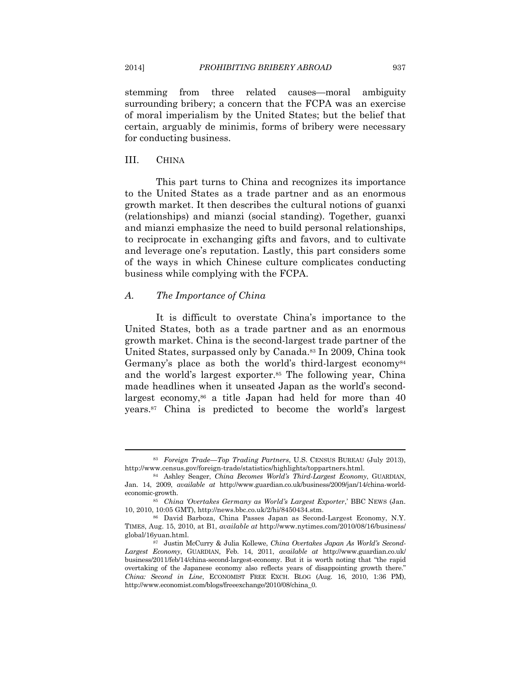stemming from three related causes—moral ambiguity surrounding bribery; a concern that the FCPA was an exercise of moral imperialism by the United States; but the belief that certain, arguably de minimis, forms of bribery were necessary for conducting business.

#### III. CHINA

This part turns to China and recognizes its importance to the United States as a trade partner and as an enormous growth market. It then describes the cultural notions of guanxi (relationships) and mianzi (social standing). Together, guanxi and mianzi emphasize the need to build personal relationships, to reciprocate in exchanging gifts and favors, and to cultivate and leverage one's reputation. Lastly, this part considers some of the ways in which Chinese culture complicates conducting business while complying with the FCPA.

#### *A. The Importance of China*

It is difficult to overstate China's importance to the United States, both as a trade partner and as an enormous growth market. China is the second-largest trade partner of the United States, surpassed only by Canada.83 In 2009, China took Germany's place as both the world's third-largest economy<sup>84</sup> and the world's largest exporter.85 The following year, China made headlines when it unseated Japan as the world's secondlargest economy, $86$  a title Japan had held for more than 40 years.87 China is predicted to become the world's largest

<sup>83</sup> *Foreign Trade—Top Trading Partners*, U.S. CENSUS BUREAU (July 2013),

<sup>&</sup>lt;sup>84</sup> Ashley Seager, *China Becomes World's Third-Largest Economy*, GUARDIAN, Jan. 14, 2009, *available at* http://www.guardian.co.uk/business/2009/jan/14/china-worldeconomic-growth. 85 *China 'Overtakes Germany as World's Largest Exporter*,' BBC NEWS (Jan.

<sup>10, 2010, 10:05</sup> GMT), http://news.bbc.co.uk/2/hi/8450434.stm. 86 David Barboza, China Passes Japan as Second-Largest Economy, N.Y.

TIMES, Aug. 15, 2010, at B1, *available at* http://www.nytimes.com/2010/08/16/business/ global/16yuan.html. 87 Justin McCurry & Julia Kollewe, *China Overtakes Japan As World's Second-*

*Largest Economy*, GUARDIAN, Feb. 14, 2011, *available at* http://www.guardian.co.uk/ business/2011/feb/14/china-second-largest-economy. But it is worth noting that "the rapid overtaking of the Japanese economy also reflects years of disappointing growth there." *China: Second in Line*, ECONOMIST FREE EXCH. BLOG (Aug. 16, 2010, 1:36 PM), http://www.economist.com/blogs/freeexchange/2010/08/china\_0.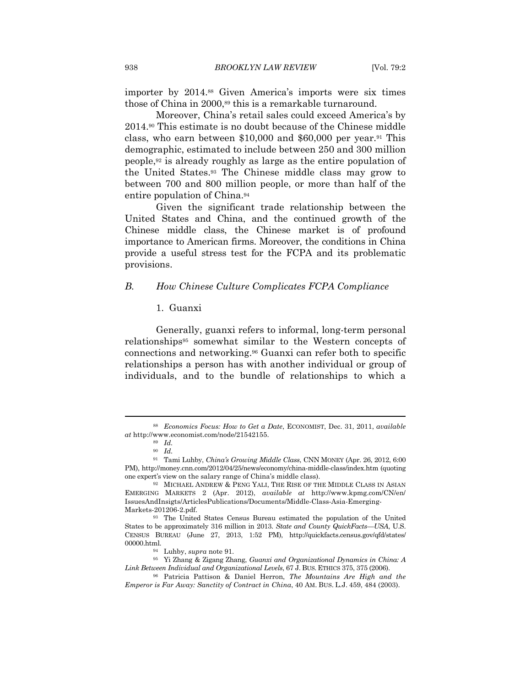importer by 2014.88 Given America's imports were six times those of China in 2000,89 this is a remarkable turnaround.

Moreover, China's retail sales could exceed America's by 2014.90 This estimate is no doubt because of the Chinese middle class, who earn between \$10,000 and \$60,000 per year.91 This demographic, estimated to include between 250 and 300 million people,92 is already roughly as large as the entire population of the United States.93 The Chinese middle class may grow to between 700 and 800 million people, or more than half of the entire population of China.94

Given the significant trade relationship between the United States and China, and the continued growth of the Chinese middle class, the Chinese market is of profound importance to American firms. Moreover, the conditions in China provide a useful stress test for the FCPA and its problematic provisions.

#### *B. How Chinese Culture Complicates FCPA Compliance*

#### 1. Guanxi

Generally, guanxi refers to informal, long-term personal relationships95 somewhat similar to the Western concepts of connections and networking.96 Guanxi can refer both to specific relationships a person has with another individual or group of individuals, and to the bundle of relationships to which a

<sup>88</sup> *Economics Focus: How to Get a Date*, ECONOMIST, Dec. 31, 2011, *available at* http://www.economist.com/node/21542155. 89 *Id.*

<sup>90</sup> *Id.*

<sup>91</sup> Tami Luhby, *China's Growing Middle Class*, CNN MONEY (Apr. 26, 2012, 6:00 PM), http://money.cnn.com/2012/04/25/news/economy/china-middle-class/index.htm (quoting one expert's view on the salary range of China's middle class).

<sup>&</sup>lt;sup>92</sup> MICHAEL ANDREW & PENG YALI, THE RISE OF THE MIDDLE CLASS IN ASIAN EMERGING MARKETS 2 (Apr. 2012), *available at* http://www.kpmg.com/CN/en/ IssuesAndInsigts/ArticlesPublications/Documents/Middle-Class-Asia-Emerging-Markets-201206-2.pdf.

<sup>93</sup> The United States Census Bureau estimated the population of the United States to be approximately 316 million in 2013. *State and County QuickFacts—USA*, U.S. CENSUS BUREAU (June 27, 2013, 1:52 PM), http://quickfacts.census.gov/qfd/states/ 00000.html. 94 Luhby, *supra* note 91. 95 Yi Zhang & Zigang Zhang, *Guanxi and Organizational Dynamics in China: A* 

*Link Between Individual and Organizational Levels*, 67 J. BUS. ETHICS 375, 375 (2006). 96 Patricia Pattison & Daniel Herron, *The Mountains Are High and the* 

*Emperor is Far Away: Sanctity of Contract in China*, 40 AM. BUS. L.J. 459, 484 (2003).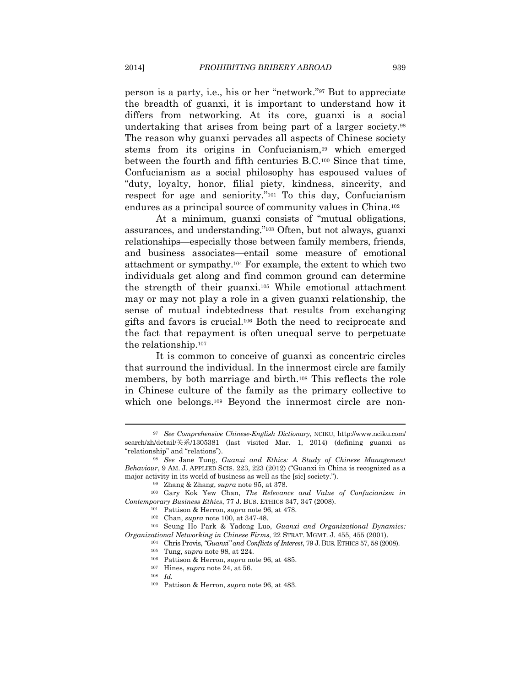person is a party, i.e., his or her "network."97 But to appreciate the breadth of guanxi, it is important to understand how it differs from networking. At its core, guanxi is a social undertaking that arises from being part of a larger society.98 The reason why guanxi pervades all aspects of Chinese society stems from its origins in Confucianism,99 which emerged between the fourth and fifth centuries B.C.100 Since that time, Confucianism as a social philosophy has espoused values of "duty, loyalty, honor, filial piety, kindness, sincerity, and respect for age and seniority."101 To this day, Confucianism endures as a principal source of community values in China.102

At a minimum, guanxi consists of "mutual obligations, assurances, and understanding."103 Often, but not always, guanxi relationships—especially those between family members, friends, and business associates—entail some measure of emotional attachment or sympathy.104 For example, the extent to which two individuals get along and find common ground can determine the strength of their guanxi.105 While emotional attachment may or may not play a role in a given guanxi relationship, the sense of mutual indebtedness that results from exchanging gifts and favors is crucial.106 Both the need to reciprocate and the fact that repayment is often unequal serve to perpetuate the relationship.107

It is common to conceive of guanxi as concentric circles that surround the individual. In the innermost circle are family members, by both marriage and birth.108 This reflects the role in Chinese culture of the family as the primary collective to which one belongs.<sup>109</sup> Beyond the innermost circle are non-

<sup>97</sup> *See Comprehensive Chinese-English Dictionary*, NCIKU, http://www.nciku.com/ search/zh/detail/关系/1305381 (last visited Mar. 1, 2014) (defining guanxi as "relationship" and "relations"). 98 *See* Jane Tung, *Guanxi and Ethics: A Study of Chinese Management* 

*Behaviour*, 9 AM. J. APPLIED SCIS. 223, 223 (2012) ("Guanxi in China is recognized as a major activity in its world of business as well as the [sic] society.").<br><sup>99</sup> Zhang & Zhang, *supra* note 95, at 378.<br><sup>100</sup> Gary Kok Yew Chan, *The Relevance and Value of Confucianism in* 

Contemporary Business Ethics, 77 J. BUS. ETHICS 347, 347 (2008).<br>
<sup>101</sup> Pattison & Herron, *supra* note 96, at 478.<br>
<sup>102</sup> Chan, *supra* note 100, at 347-48.<br>
<sup>103</sup> Seung Ho Park & Yadong Luo, *Guanxi and Organizational Dy* 

 $\label{eq:cal2} Organizational Networking in Chinese Firms, 22 STRAT. MGMT. J. 455, 455 (2001).$ <br/> $^{104}$  Chris Provis, "Guanxi" and Conflicts of Interest, 79 J. BUS. ETHICS 57, 58 (2008). Tung, supra note 98, at 224. <br> $^{105}$  Pattison & Herron, supra note 96, at 485.

<sup>107</sup> Hines, *supra* note 24, at 56. 108 *Id.*

<sup>109</sup> Pattison & Herron, *supra* note 96, at 483.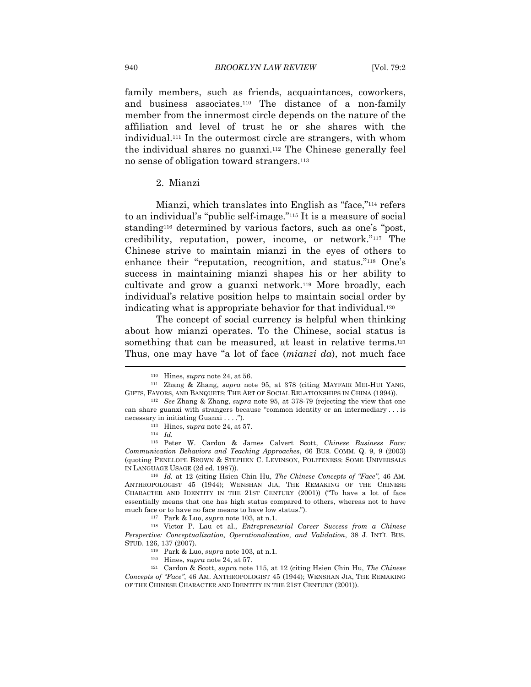family members, such as friends, acquaintances, coworkers, and business associates.110 The distance of a non-family member from the innermost circle depends on the nature of the affiliation and level of trust he or she shares with the individual.111 In the outermost circle are strangers, with whom the individual shares no guanxi.112 The Chinese generally feel no sense of obligation toward strangers.113

#### 2. Mianzi

Mianzi, which translates into English as "face,"114 refers to an individual's "public self-image."115 It is a measure of social standing116 determined by various factors, such as one's "post, credibility, reputation, power, income, or network."117 The Chinese strive to maintain mianzi in the eyes of others to enhance their "reputation, recognition, and status."118 One's success in maintaining mianzi shapes his or her ability to cultivate and grow a guanxi network.119 More broadly, each individual's relative position helps to maintain social order by indicating what is appropriate behavior for that individual.120

The concept of social currency is helpful when thinking about how mianzi operates. To the Chinese, social status is something that can be measured, at least in relative terms.<sup>121</sup> Thus, one may have "a lot of face (*mianzi da*), not much face

ANTHROPOLOGIST 45 (1944); WENSHAN JIA, THE REMAKING OF THE CHINESE CHARACTER AND IDENTITY IN THE 21ST CENTURY (2001)) ("To have a lot of face essentially means that one has high status compared to others, whereas not to have much face or to have no face means to have low status.").<br><sup>117</sup> Park & Luo, *supra* note 103, at n.1.<br><sup>118</sup> Victor P. Lau et al., *Entrepreneurial Career Success from a Chinese* 

*Perspective: Conceptualization, Operationalization, and Validation*, 38 J. INT'L BUS. STUD. 126, 137 (2007).<br>
<sup>119</sup> Park & Luo, *supra* note 103, at n.1.<br>
<sup>120</sup> Hines, *supra* note 24, at 57.<br>
<sup>121</sup> Cardon & Scott, *supra* note 115, at 12 (citing Hsien Chin Hu, *The Chinese* 

*Concepts of "Face"*, 46 AM. ANTHROPOLOGIST 45 (1944); WENSHAN JIA, THE REMAKING OF THE CHINESE CHARACTER AND IDENTITY IN THE 21ST CENTURY (2001)).

<sup>110</sup> Hines, *supra* note 24, at 56. 111 Zhang & Zhang, *supra* note 95, at 378 (citing MAYFAIR MEI-HUI YANG, GIFTS, FAVORS, AND BANQUETS: THE ART OF SOCIAL RELATIONSHIPS IN CHINA (1994)). 112 *See* Zhang & Zhang, *supra* note 95, at 378-79 (rejecting the view that one

can share guanxi with strangers because "common identity or an intermediary . . . is necessary in initiating Guanxi . . . .").<br><sup>113</sup> Hines, *supra* note 24, at 57.<br><sup>114</sup> *Id.* 

<sup>115</sup> Peter W. Cardon & James Calvert Scott, *Chinese Business Face: Communication Behaviors and Teaching Approaches*, 66 BUS. COMM. Q. 9, 9 (2003) (quoting PENELOPE BROWN & STEPHEN C. LEVINSON, POLITENESS: SOME UNIVERSALS IN LANGUAGE USAGE (2d ed. 1987)). 116 *Id.* at 12 (citing Hsien Chin Hu, *The Chinese Concepts of "Face"*, 46 AM.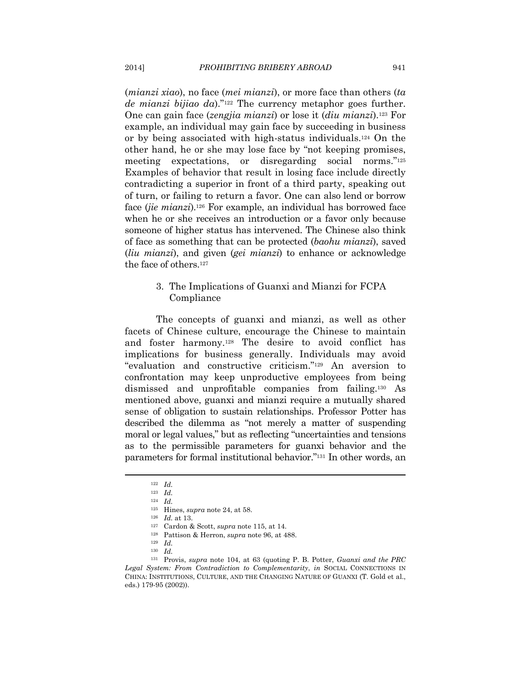(*mianzi xiao*), no face (*mei mianzi*), or more face than others (*ta de mianzi bijiao da*)."122 The currency metaphor goes further. One can gain face (*zengjia mianzi*) or lose it (*diu mianzi*).123 For example, an individual may gain face by succeeding in business or by being associated with high-status individuals.124 On the other hand, he or she may lose face by "not keeping promises, meeting expectations, or disregarding social norms."125 Examples of behavior that result in losing face include directly contradicting a superior in front of a third party, speaking out of turn, or failing to return a favor. One can also lend or borrow face (*jie mianzi*).126 For example, an individual has borrowed face when he or she receives an introduction or a favor only because someone of higher status has intervened. The Chinese also think of face as something that can be protected (*baohu mianzi*), saved (*liu mianzi*), and given (*gei mianzi*) to enhance or acknowledge the face of others.127

#### 3. The Implications of Guanxi and Mianzi for FCPA Compliance

The concepts of guanxi and mianzi, as well as other facets of Chinese culture, encourage the Chinese to maintain and foster harmony.128 The desire to avoid conflict has implications for business generally. Individuals may avoid "evaluation and constructive criticism."129 An aversion to confrontation may keep unproductive employees from being dismissed and unprofitable companies from failing.130 As mentioned above, guanxi and mianzi require a mutually shared sense of obligation to sustain relationships. Professor Potter has described the dilemma as "not merely a matter of suspending moral or legal values," but as reflecting "uncertainties and tensions as to the permissible parameters for guanxi behavior and the parameters for formal institutional behavior."131 In other words, an

<sup>126</sup> *Id.* at 13.<br><sup>127</sup> Cardon & Scott, *supra* note 115, at 14.<br><sup>128</sup> Pattison & Herron, *supra* note 96, at 488.<br><sup>129</sup> *Id.* 

<sup>122</sup> *Id.*

<sup>123</sup> *Id.*

<sup>&</sup>lt;sup>124</sup> *Id.* Hines, *supra* note 24, at 58.

<sup>130</sup> *Id.*

<sup>131</sup> Provis, *supra* note 104, at 63 (quoting P. B. Potter, *Guanxi and the PRC Legal System: From Contradiction to Complementarity*, *in* SOCIAL CONNECTIONS IN CHINA: INSTITUTIONS, CULTURE, AND THE CHANGING NATURE OF GUANXI (T. Gold et al., eds.) 179-95 (2002)).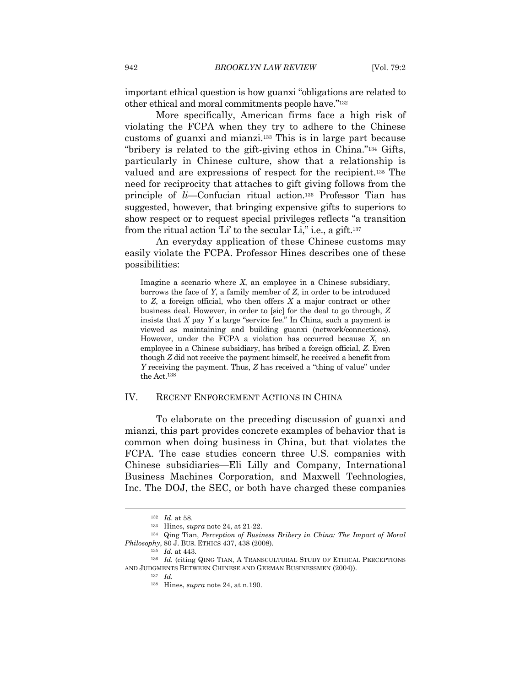important ethical question is how guanxi "obligations are related to other ethical and moral commitments people have."132

More specifically, American firms face a high risk of violating the FCPA when they try to adhere to the Chinese customs of guanxi and mianzi.133 This is in large part because "bribery is related to the gift-giving ethos in China."134 Gifts, particularly in Chinese culture, show that a relationship is valued and are expressions of respect for the recipient.135 The need for reciprocity that attaches to gift giving follows from the principle of *li*—Confucian ritual action.136 Professor Tian has suggested, however, that bringing expensive gifts to superiors to show respect or to request special privileges reflects "a transition from the ritual action 'Li' to the secular Li," i.e., a gift.137

An everyday application of these Chinese customs may easily violate the FCPA. Professor Hines describes one of these possibilities:

Imagine a scenario where *X*, an employee in a Chinese subsidiary, borrows the face of *Y*, a family member of *Z*, in order to be introduced to *Z*, a foreign official, who then offers *X* a major contract or other business deal. However, in order to [sic] for the deal to go through, *Z* insists that *X* pay *Y* a large "service fee." In China, such a payment is viewed as maintaining and building guanxi (network/connections). However, under the FCPA a violation has occurred because *X*, an employee in a Chinese subsidiary, has bribed a foreign official, *Z*. Even though *Z* did not receive the payment himself, he received a benefit from *Y* receiving the payment. Thus, *Z* has received a "thing of value" under the Act.138

#### IV. RECENT ENFORCEMENT ACTIONS IN CHINA

To elaborate on the preceding discussion of guanxi and mianzi, this part provides concrete examples of behavior that is common when doing business in China, but that violates the FCPA. The case studies concern three U.S. companies with Chinese subsidiaries—Eli Lilly and Company, International Business Machines Corporation, and Maxwell Technologies, Inc. The DOJ, the SEC, or both have charged these companies

<sup>132</sup> *Id*. at 58. 133 Hines, *supra* note 24, at 21-22. 134 Qing Tian, *Perception of Business Bribery in China: The Impact of Moral Philosophy*, 80 J. BUS. ETHICS 437, 438 (2008).<br><sup>135</sup> *Id.* at 443.<br><sup>136</sup> *Id.* (citing QING TIAN, A TRANSCULTURAL STUDY OF ETHICAL PERCEPTIONS

AND JUDGMENTS BETWEEN CHINESE AND GERMAN BUSINESSMEN (2004)). 137 *Id.*

<sup>138</sup> Hines, *supra* note 24, at n.190.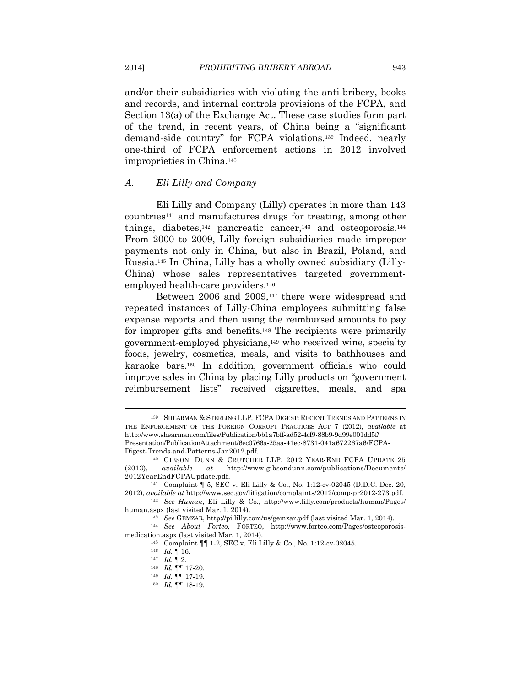and/or their subsidiaries with violating the anti-bribery, books and records, and internal controls provisions of the FCPA, and Section 13(a) of the Exchange Act. These case studies form part of the trend, in recent years, of China being a "significant demand-side country" for FCPA violations.139 Indeed, nearly one-third of FCPA enforcement actions in 2012 involved improprieties in China.140

#### *A. Eli Lilly and Company*

Eli Lilly and Company (Lilly) operates in more than 143 countries141 and manufactures drugs for treating, among other things, diabetes,<sup>142</sup> pancreatic cancer,<sup>143</sup> and osteoporosis.<sup>144</sup> From 2000 to 2009, Lilly foreign subsidiaries made improper payments not only in China, but also in Brazil, Poland, and Russia.145 In China, Lilly has a wholly owned subsidiary (Lilly-China) whose sales representatives targeted governmentemployed health-care providers.146

Between 2006 and 2009,147 there were widespread and repeated instances of Lilly-China employees submitting false expense reports and then using the reimbursed amounts to pay for improper gifts and benefits.148 The recipients were primarily government-employed physicians,149 who received wine, specialty foods, jewelry, cosmetics, meals, and visits to bathhouses and karaoke bars.150 In addition, government officials who could improve sales in China by placing Lilly products on "government reimbursement lists" received cigarettes, meals, and spa

<sup>139</sup> SHEARMAN & STERLING LLP, FCPA DIGEST: RECENT TRENDS AND PATTERNS IN THE ENFORCEMENT OF THE FOREIGN CORRUPT PRACTICES ACT 7 (2012), *available* at http://www.shearman.com/files/Publication/bb1a7bff-ad52-4cf9-88b9-9d99e001dd5f/ Presentation/PublicationAttachment/6ec0766a-25aa-41ec-8731-041a672267a6/FCPA-Digest-Trends-and-Patterns-Jan2012.pdf. 140 GIBSON, DUNN & CRUTCHER LLP, <sup>2012</sup> YEAR-END FCPA UPDATE 25

<sup>(2013),</sup> *available at* http://www.gibsondunn.com/publications/Documents/ 2012YearEndFCPAUpdate.pdf.<br><sup>141</sup> Complaint ¶ 5, SEC v. Eli Lilly & Co., No. 1:12-cv-02045 (D.D.C. Dec. 20,

<sup>2012),</sup> *available at* http://www.sec.gov/litigation/complaints/2012/comp-pr2012-273.pdf. 142 *See Human*, Eli Lilly & Co., http://www.lilly.com/products/human/Pages/

human.aspx (last visited Mar. 1, 2014). 143 *See* GEMZAR, http://pi.lilly.com/us/gemzar.pdf (last visited Mar. 1, 2014). 144 *See About Forteo*, FORTEO, http://www.forteo.com/Pages/osteoporosis-

medication.aspx (last visited Mar. 1, 2014).<br>
<sup>145</sup> Complaint ¶¶ 1-2, SEC v. Eli Lilly & Co., No. 1:12-cv-02045.<br>
<sup>146</sup> *Id.* ¶ 16.<br>
<sup>147</sup> *Id.* ¶ 17.<br>
<sup>147</sup> *Id.* ¶ 17-20.<br>
<sup>148</sup> *Id.* ¶ 17-19.<br>
<sup>149</sup> *Id.* ¶ 17-19.<br>
<sup>15</sup>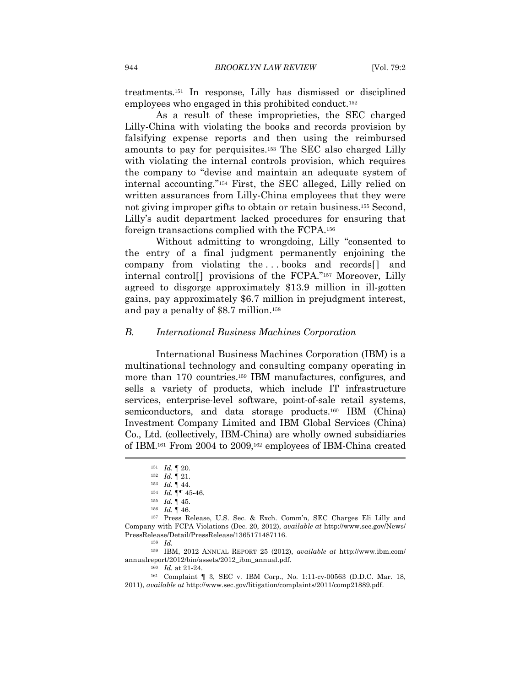treatments.151 In response, Lilly has dismissed or disciplined employees who engaged in this prohibited conduct.152

As a result of these improprieties, the SEC charged Lilly-China with violating the books and records provision by falsifying expense reports and then using the reimbursed amounts to pay for perquisites.153 The SEC also charged Lilly with violating the internal controls provision, which requires the company to "devise and maintain an adequate system of internal accounting."154 First, the SEC alleged, Lilly relied on written assurances from Lilly-China employees that they were not giving improper gifts to obtain or retain business.155 Second, Lilly's audit department lacked procedures for ensuring that foreign transactions complied with the FCPA.156

Without admitting to wrongdoing, Lilly "consented to the entry of a final judgment permanently enjoining the company from violating the ... books and records<sup>[]</sup> and internal control[] provisions of the FCPA."157 Moreover, Lilly agreed to disgorge approximately \$13.9 million in ill-gotten gains, pay approximately \$6.7 million in prejudgment interest, and pay a penalty of \$8.7 million.158

#### *B. International Business Machines Corporation*

International Business Machines Corporation (IBM) is a multinational technology and consulting company operating in more than 170 countries.159 IBM manufactures, configures, and sells a variety of products, which include IT infrastructure services, enterprise-level software, point-of-sale retail systems, semiconductors, and data storage products.<sup>160</sup> IBM (China) Investment Company Limited and IBM Global Services (China) Co., Ltd. (collectively, IBM-China) are wholly owned subsidiaries of IBM.161 From 2004 to 2009,162 employees of IBM-China created

159 IBM, 2012 ANNUAL REPORT 25 (2012), *available at* http://www.ibm.com/ annualreport/2012/bin/assets/2012\_ibm\_annual.pdf.<br><sup>160</sup> *Id.* at 21-24.<br><sup>161</sup> Complaint ¶ 3, SEC v. IBM Corp., No. 1:11-cv-00563 (D.D.C. Mar. 18,

<sup>151</sup> *Id.* ¶ 20.<br>
<sup>152</sup> *Id.* ¶ 21.<br>
<sup>153</sup> *Id.* ¶ 45.<br>
<sup>154</sup> *Id.* ¶ 45.<br>
<sup>156</sup> *Id.* ¶ 45.<br>
<sup>156</sup> *Id.* ¶ 46.<br>
<sup>156</sup> *Id.* ¶ 46.<br>
<sup>157</sup> Press Release, U.S. Sec. & Exch. Comm'n, SEC Charges Eli Lilly and Company with FCPA Violations (Dec. 20, 2012), *available at* http://www.sec.gov/News/ PressRelease/Detail/PressRelease/1365171487116. 158 *Id.*

<sup>2011),</sup> *available at* http://www.sec.gov/litigation/complaints/2011/comp21889.pdf.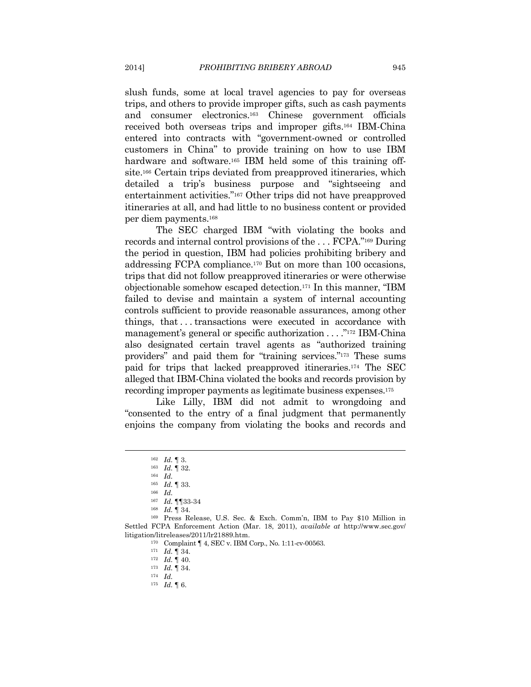slush funds, some at local travel agencies to pay for overseas trips, and others to provide improper gifts, such as cash payments and consumer electronics.163 Chinese government officials received both overseas trips and improper gifts.164 IBM-China entered into contracts with "government-owned or controlled customers in China" to provide training on how to use IBM hardware and software.<sup>165</sup> IBM held some of this training offsite.166 Certain trips deviated from preapproved itineraries, which detailed a trip's business purpose and "sightseeing and entertainment activities."167 Other trips did not have preapproved itineraries at all, and had little to no business content or provided per diem payments.168

The SEC charged IBM "with violating the books and records and internal control provisions of the . . . FCPA."169 During the period in question, IBM had policies prohibiting bribery and addressing FCPA compliance.170 But on more than 100 occasions, trips that did not follow preapproved itineraries or were otherwise objectionable somehow escaped detection.171 In this manner, "IBM failed to devise and maintain a system of internal accounting controls sufficient to provide reasonable assurances, among other things, that . . . transactions were executed in accordance with management's general or specific authorization . . . ."172 IBM-China also designated certain travel agents as "authorized training providers" and paid them for "training services."173 These sums paid for trips that lacked preapproved itineraries.174 The SEC alleged that IBM-China violated the books and records provision by recording improper payments as legitimate business expenses.175

Like Lilly, IBM did not admit to wrongdoing and "consented to the entry of a final judgment that permanently enjoins the company from violating the books and records and

 $\overline{a}$ 

175 *Id.* ¶ 6.

<sup>162</sup> *Id.* ¶ 3. 163 *Id.* ¶ 32. 164 *Id.*

<sup>165</sup> *Id.* ¶ 33. 166 *Id.*

<sup>167</sup> *Id.* <sup>1</sup>¶33-34<br><sup>168</sup> *Id.* <sup>¶</sup> 34.<br><sup>169</sup> Press Release, U.S. Sec. & Exch. Comm'n, IBM to Pay \$10 Million in Settled FCPA Enforcement Action (Mar. 18, 2011), *available at* http://www.sec.gov/ litigation/litreleases/2011/lr21889.htm. 170 Complaint ¶ 4, SEC v. IBM Corp., No. 1:11-cv-00563. 171 *Id.* ¶ 34. 172 *Id.* ¶ 40. 173 *Id.* ¶ 34. 174 *Id.*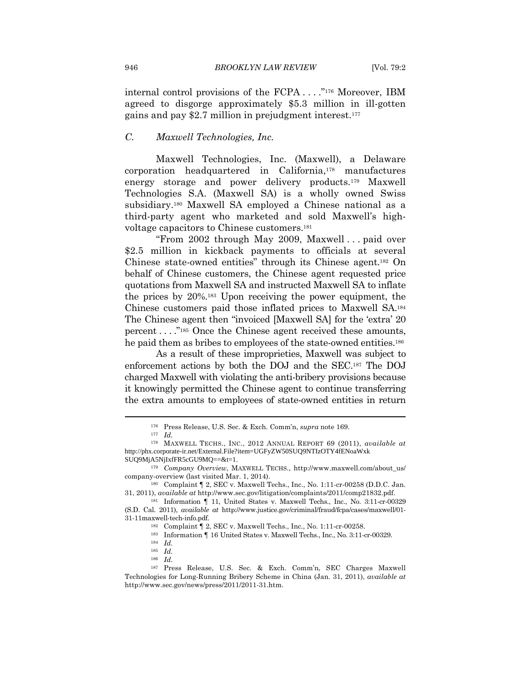internal control provisions of the FCPA . . . ."176 Moreover, IBM agreed to disgorge approximately \$5.3 million in ill-gotten gains and pay \$2.7 million in prejudgment interest.177

#### *C. Maxwell Technologies, Inc.*

Maxwell Technologies, Inc. (Maxwell), a Delaware corporation headquartered in California,178 manufactures energy storage and power delivery products.179 Maxwell Technologies S.A. (Maxwell SA) is a wholly owned Swiss subsidiary.180 Maxwell SA employed a Chinese national as a third-party agent who marketed and sold Maxwell's highvoltage capacitors to Chinese customers.181

"From 2002 through May 2009, Maxwell . . . paid over \$2.5 million in kickback payments to officials at several Chinese state-owned entities" through its Chinese agent.182 On behalf of Chinese customers, the Chinese agent requested price quotations from Maxwell SA and instructed Maxwell SA to inflate the prices by 20%.183 Upon receiving the power equipment, the Chinese customers paid those inflated prices to Maxwell SA.184 The Chinese agent then "invoiced [Maxwell SA] for the 'extra' 20 percent . . . ."185 Once the Chinese agent received these amounts, he paid them as bribes to employees of the state-owned entities.<sup>186</sup>

As a result of these improprieties, Maxwell was subject to enforcement actions by both the DOJ and the SEC.187 The DOJ charged Maxwell with violating the anti-bribery provisions because it knowingly permitted the Chinese agent to continue transferring the extra amounts to employees of state-owned entities in return

<sup>176</sup> Press Release, U.S. Sec. & Exch. Comm'n, *supra* note 169. 177 *Id.*

<sup>178</sup> MAXWELL TECHS., INC., 2012 ANNUAL REPORT 69 (2011), *available at* http://phx.corporate-ir.net/External.File?item=UGFyZW50SUQ9NTIzOTY4fENoaWxk

SUQ9MjA5NjIxfFR5cGU9MQ==&t=1.<br><sup>179</sup> Company Overview, MAXWELL TECHS., http://www.maxwell.com/about\_us/<br>company-overview (last visited Mar. 1, 2014).

<sup>&</sup>lt;sup>180</sup> Complaint ¶ 2, SEC v. Maxwell Techs., Inc., No. 1:11-cr-00258 (D.D.C. Jan. 31, 2011), *available at* http://www.sec.gov/litigation/complaints/2011/comp21832.pdf. 181 Information ¶ 11, United States v. Maxwell Techs., Inc., No. 3:11-cr-00329

<sup>(</sup>S.D. Cal. 2011), *available at* http://www.justice.gov/criminal/fraud/fcpa/cases/maxwell/01- 31-11maxwell-tech-info.pdf. 182 Complaint ¶ 2, SEC v. Maxwell Techs., Inc., No. 1:11-cr-00258.<br><sup>183</sup> Information ¶ 16 United States v. Maxwell Techs., Inc., No. 3:11-cr-00329.<br><sup>184</sup> *Id.* 

<sup>185</sup> *Id.*

<sup>186</sup> *Id.*

<sup>187</sup> Press Release, U.S. Sec. & Exch. Comm'n, SEC Charges Maxwell Technologies for Long-Running Bribery Scheme in China (Jan. 31, 2011), *available at* http://www.sec.gov/news/press/2011/2011-31.htm.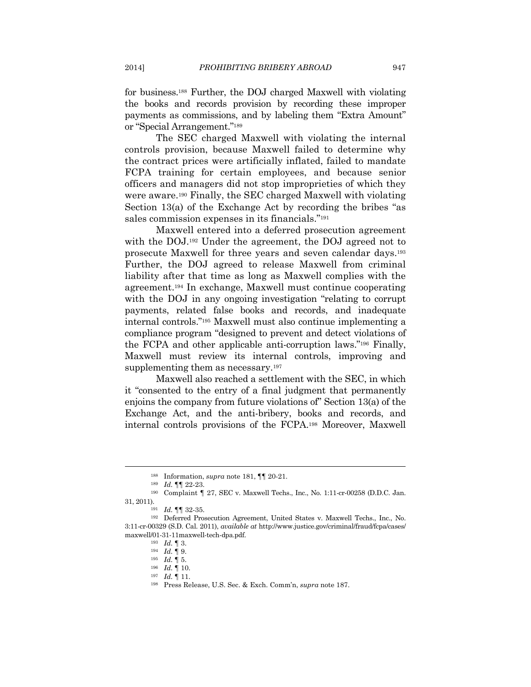for business.188 Further, the DOJ charged Maxwell with violating the books and records provision by recording these improper payments as commissions, and by labeling them "Extra Amount" or "Special Arrangement."189

The SEC charged Maxwell with violating the internal controls provision, because Maxwell failed to determine why the contract prices were artificially inflated, failed to mandate FCPA training for certain employees, and because senior officers and managers did not stop improprieties of which they were aware.190 Finally, the SEC charged Maxwell with violating Section 13(a) of the Exchange Act by recording the bribes "as sales commission expenses in its financials."191

Maxwell entered into a deferred prosecution agreement with the DOJ.192 Under the agreement, the DOJ agreed not to prosecute Maxwell for three years and seven calendar days.193 Further, the DOJ agreed to release Maxwell from criminal liability after that time as long as Maxwell complies with the agreement.194 In exchange, Maxwell must continue cooperating with the DOJ in any ongoing investigation "relating to corrupt payments, related false books and records, and inadequate internal controls."195 Maxwell must also continue implementing a compliance program "designed to prevent and detect violations of the FCPA and other applicable anti-corruption laws."196 Finally, Maxwell must review its internal controls, improving and supplementing them as necessary.<sup>197</sup>

Maxwell also reached a settlement with the SEC, in which it "consented to the entry of a final judgment that permanently enjoins the company from future violations of" Section 13(a) of the Exchange Act, and the anti-bribery, books and records, and internal controls provisions of the FCPA.198 Moreover, Maxwell

<sup>188</sup> Information, *supra* note 181, ¶¶ 20-21.<br>
<sup>189</sup> *Id.* ¶¶ 22-23.<br>
<sup>190</sup> Complaint ¶ 27, SEC v. Maxwell Techs., Inc., No. 1:11-cr-00258 (D.D.C. Jan. 31, 2011). 191 *Id.* ¶¶ 32-35. 192 Deferred Prosecution Agreement, United States v. Maxwell Techs., Inc., No.

<sup>3:11-</sup>cr-00329 (S.D. Cal. 2011), *available at* http://www.justice.gov/criminal/fraud/fcpa/cases/ maxwell/01-31-11maxwell-tech-dpa.pdf.<br>
<sup>193</sup> *Id.* ¶ 3.<br>
<sup>195</sup> *Id.* ¶ 9.<br>
<sup>195</sup> *Id.* ¶ 10.<br>
<sup>197</sup> *Id.* ¶ 11.<br>
<sup>198</sup> Press Release, U.S. Sec. & Exch. Comm'n, *supra* note 187.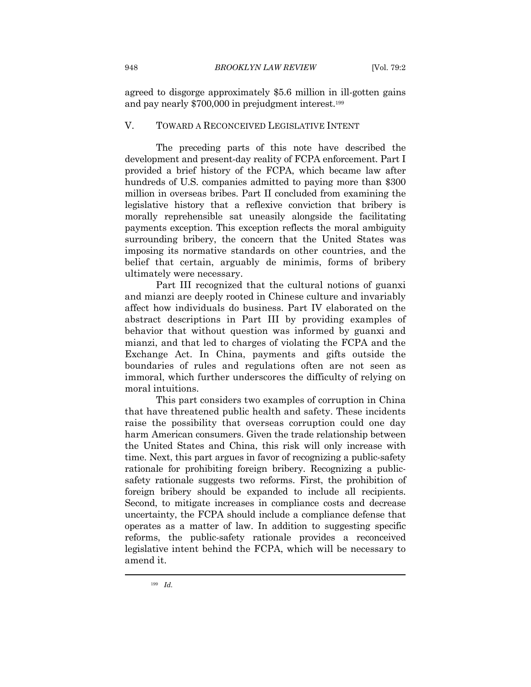agreed to disgorge approximately \$5.6 million in ill-gotten gains and pay nearly \$700,000 in prejudgment interest.199

#### V. TOWARD A RECONCEIVED LEGISLATIVE INTENT

The preceding parts of this note have described the development and present-day reality of FCPA enforcement. Part I provided a brief history of the FCPA, which became law after hundreds of U.S. companies admitted to paying more than \$300 million in overseas bribes. Part II concluded from examining the legislative history that a reflexive conviction that bribery is morally reprehensible sat uneasily alongside the facilitating payments exception. This exception reflects the moral ambiguity surrounding bribery, the concern that the United States was imposing its normative standards on other countries, and the belief that certain, arguably de minimis, forms of bribery ultimately were necessary.

Part III recognized that the cultural notions of guanxi and mianzi are deeply rooted in Chinese culture and invariably affect how individuals do business. Part IV elaborated on the abstract descriptions in Part III by providing examples of behavior that without question was informed by guanxi and mianzi, and that led to charges of violating the FCPA and the Exchange Act. In China, payments and gifts outside the boundaries of rules and regulations often are not seen as immoral, which further underscores the difficulty of relying on moral intuitions.

This part considers two examples of corruption in China that have threatened public health and safety. These incidents raise the possibility that overseas corruption could one day harm American consumers. Given the trade relationship between the United States and China, this risk will only increase with time. Next, this part argues in favor of recognizing a public-safety rationale for prohibiting foreign bribery. Recognizing a publicsafety rationale suggests two reforms. First, the prohibition of foreign bribery should be expanded to include all recipients. Second, to mitigate increases in compliance costs and decrease uncertainty, the FCPA should include a compliance defense that operates as a matter of law. In addition to suggesting specific reforms, the public-safety rationale provides a reconceived legislative intent behind the FCPA, which will be necessary to amend it.

<sup>199</sup> *Id.*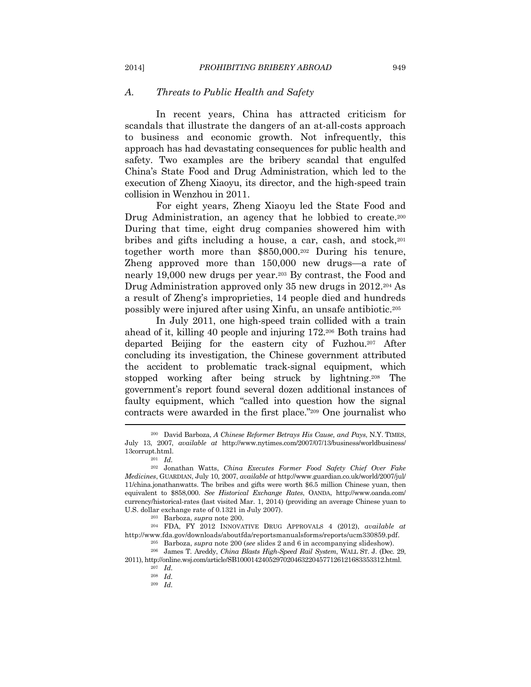#### *A. Threats to Public Health and Safety*

In recent years, China has attracted criticism for scandals that illustrate the dangers of an at-all-costs approach to business and economic growth. Not infrequently, this approach has had devastating consequences for public health and safety. Two examples are the bribery scandal that engulfed China's State Food and Drug Administration, which led to the execution of Zheng Xiaoyu, its director, and the high-speed train collision in Wenzhou in 2011.

For eight years, Zheng Xiaoyu led the State Food and Drug Administration, an agency that he lobbied to create.<sup>200</sup> During that time, eight drug companies showered him with bribes and gifts including a house, a car, cash, and stock,201 together worth more than \$850,000.202 During his tenure, Zheng approved more than 150,000 new drugs—a rate of nearly 19,000 new drugs per year.203 By contrast, the Food and Drug Administration approved only 35 new drugs in 2012.204 As a result of Zheng's improprieties, 14 people died and hundreds possibly were injured after using Xinfu, an unsafe antibiotic.205

In July 2011, one high-speed train collided with a train ahead of it, killing 40 people and injuring 172.206 Both trains had departed Beijing for the eastern city of Fuzhou.207 After concluding its investigation, the Chinese government attributed the accident to problematic track-signal equipment, which stopped working after being struck by lightning.208 The government's report found several dozen additional instances of faulty equipment, which "called into question how the signal contracts were awarded in the first place."209 One journalist who

209 *Id.*

<sup>200</sup> David Barboza, *A Chinese Reformer Betrays His Cause, and Pays*, N.Y. TIMES, July 13, 2007, *available at* http://www.nytimes.com/2007/07/13/business/worldbusiness/ 13corrupt.html.<br> $_{201}$  *Id.* 

<sup>202</sup> Jonathan Watts, *China Executes Former Food Safety Chief Over Fake Medicines*, GUARDIAN, July 10, 2007, *available at* http://www.guardian.co.uk/world/2007/jul/ 11/china.jonathanwatts. The bribes and gifts were worth \$6.5 million Chinese yuan, then equivalent to \$858,000. *See Historical Exchange Rates*, OANDA, http://www.oanda.com/ currency/historical-rates (last visited Mar. 1, 2014) (providing an average Chinese yuan to U.S. dollar exchange rate of 0.1321 in July 2007). 203 Barboza, *supra* note 200. 204 FDA, FY <sup>2012</sup> INNOVATIVE DRUG APPROVALS 4 (2012), *available at*

http://www.fda.gov/downloads/aboutfda/reportsmanualsforms/reports/ucm330859.pdf. 205 Barboza, *supra* note 200 (*see* slides 2 and 6 in accompanying slideshow).

<sup>206</sup> James T. Areddy, *China Blasts High-Speed Rail System*, WALL ST. J. (Dec. 29, 2011), http://online.wsj.com/article/SB10001424052970204632204577126121683353312.html. 207 *Id.*

<sup>208</sup> *Id.*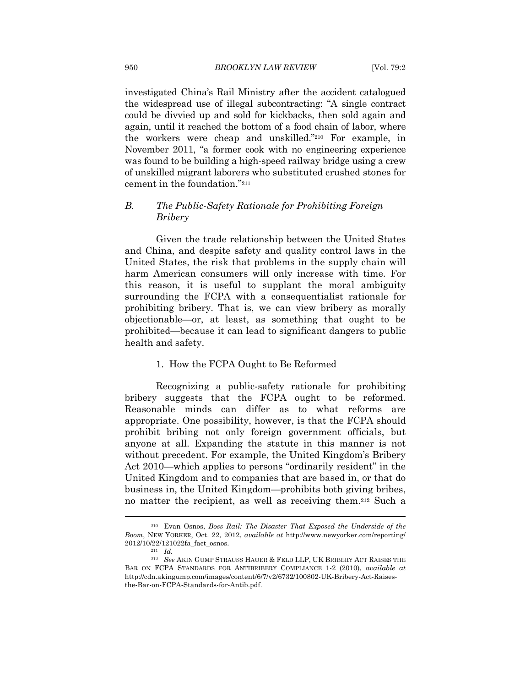investigated China's Rail Ministry after the accident catalogued the widespread use of illegal subcontracting: "A single contract could be divvied up and sold for kickbacks, then sold again and again, until it reached the bottom of a food chain of labor, where the workers were cheap and unskilled."210 For example, in November 2011, "a former cook with no engineering experience was found to be building a high-speed railway bridge using a crew of unskilled migrant laborers who substituted crushed stones for cement in the foundation."211

#### *B. The Public-Safety Rationale for Prohibiting Foreign Bribery*

Given the trade relationship between the United States and China, and despite safety and quality control laws in the United States, the risk that problems in the supply chain will harm American consumers will only increase with time. For this reason, it is useful to supplant the moral ambiguity surrounding the FCPA with a consequentialist rationale for prohibiting bribery. That is, we can view bribery as morally objectionable—or, at least, as something that ought to be prohibited—because it can lead to significant dangers to public health and safety.

#### 1. How the FCPA Ought to Be Reformed

Recognizing a public-safety rationale for prohibiting bribery suggests that the FCPA ought to be reformed. Reasonable minds can differ as to what reforms are appropriate. One possibility, however, is that the FCPA should prohibit bribing not only foreign government officials, but anyone at all. Expanding the statute in this manner is not without precedent. For example, the United Kingdom's Bribery Act 2010—which applies to persons "ordinarily resident" in the United Kingdom and to companies that are based in, or that do business in, the United Kingdom—prohibits both giving bribes, no matter the recipient, as well as receiving them.212 Such a

<sup>210</sup> Evan Osnos, *Boss Rail: The Disaster That Exposed the Underside of the Boom*, NEW YORKER, Oct. 22, 2012, *available at* http://www.newyorker.com/reporting/ 2012/10/22/121022fa\_fact\_osnos. 211 *Id.*

<sup>212</sup> *See* AKIN GUMP STRAUSS HAUER & FELD LLP, UK BRIBERY ACT RAISES THE BAR ON FCPA STANDARDS FOR ANTIBRIBERY COMPLIANCE 1-2 (2010), *available at* http://cdn.akingump.com/images/content/6/7/v2/6732/100802-UK-Bribery-Act-Raisesthe-Bar-on-FCPA-Standards-for-Antib.pdf.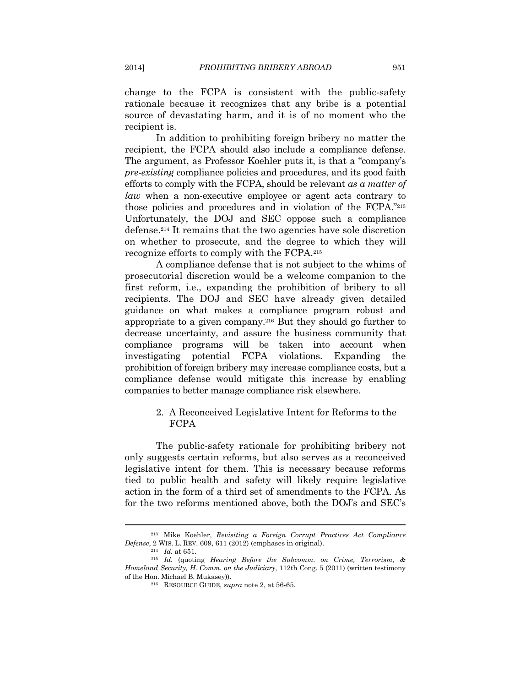change to the FCPA is consistent with the public-safety rationale because it recognizes that any bribe is a potential source of devastating harm, and it is of no moment who the recipient is.

In addition to prohibiting foreign bribery no matter the recipient, the FCPA should also include a compliance defense. The argument, as Professor Koehler puts it, is that a "company's *pre-existing* compliance policies and procedures, and its good faith efforts to comply with the FCPA, should be relevant *as a matter of law* when a non-executive employee or agent acts contrary to those policies and procedures and in violation of the FCPA."213 Unfortunately, the DOJ and SEC oppose such a compliance defense.214 It remains that the two agencies have sole discretion on whether to prosecute, and the degree to which they will recognize efforts to comply with the FCPA.215

A compliance defense that is not subject to the whims of prosecutorial discretion would be a welcome companion to the first reform, i.e., expanding the prohibition of bribery to all recipients. The DOJ and SEC have already given detailed guidance on what makes a compliance program robust and appropriate to a given company.216 But they should go further to decrease uncertainty, and assure the business community that compliance programs will be taken into account when investigating potential FCPA violations. Expanding the prohibition of foreign bribery may increase compliance costs, but a compliance defense would mitigate this increase by enabling companies to better manage compliance risk elsewhere.

#### 2. A Reconceived Legislative Intent for Reforms to the FCPA

The public-safety rationale for prohibiting bribery not only suggests certain reforms, but also serves as a reconceived legislative intent for them. This is necessary because reforms tied to public health and safety will likely require legislative action in the form of a third set of amendments to the FCPA. As for the two reforms mentioned above, both the DOJ's and SEC's

<sup>213</sup> Mike Koehler, *Revisiting a Foreign Corrupt Practices Act Compliance Defense*, 2 WIS. L. REV. 609, 611 (2012) (emphases in original). 214 *Id.* at 651. 215 *Id.* (quoting *Hearing Before the Subcomm. on Crime, Terrorism, &* 

*Homeland Security, H. Comm. on the Judiciary*, 112th Cong. 5 (2011) (written testimony of the Hon. Michael B. Mukasey)). 216 RESOURCE GUIDE, *supra* note 2, at 56-65.